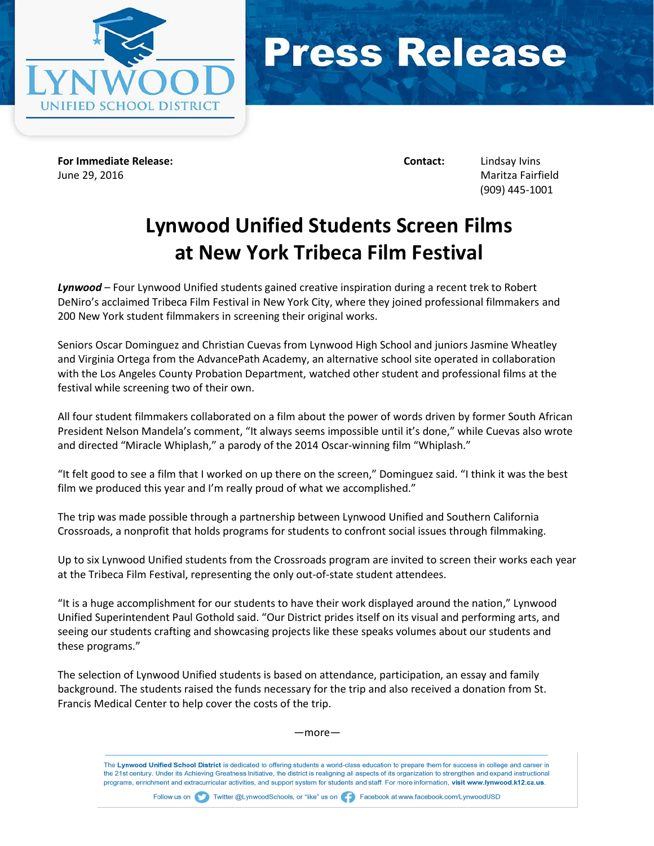



**For Immediate Release: Contact:** Lindsay Ivins June 29, 2016 Maritza Fairfield

(909) 445-1001

## **Lynwood Unified Students Screen Films at New York Tribeca Film Festival**

*Lynwood* – Four Lynwood Unified students gained creative inspiration during a recent trek to Robert DeNiro's acclaimed Tribeca Film Festival in New York City, where they joined professional filmmakers and 200 New York student filmmakers in screening their original works.

Seniors Oscar Dominguez and Christian Cuevas from Lynwood High School and juniors Jasmine Wheatley and Virginia Ortega from the AdvancePath Academy, an alternative school site operated in collaboration with the Los Angeles County Probation Department, watched other student and professional films at the festival while screening two of their own.

All four student filmmakers collaborated on a film about the power of words driven by former South African President Nelson Mandela's comment, "It always seems impossible until it's done," while Cuevas also wrote and directed "Miracle Whiplash," a parody of the 2014 Oscar-winning film "Whiplash."

"It felt good to see a film that I worked on up there on the screen," Dominguez said. "I think it was the best film we produced this year and I'm really proud of what we accomplished."

The trip was made possible through a partnership between Lynwood Unified and Southern California Crossroads, a nonprofit that holds programs for students to confront social issues through filmmaking.

Up to six Lynwood Unified students from the Crossroads program are invited to screen their works each year at the Tribeca Film Festival, representing the only out-of-state student attendees.

"It is a huge accomplishment for our students to have their work displayed around the nation," Lynwood Unified Superintendent Paul Gothold said. "Our District prides itself on its visual and performing arts, and seeing our students crafting and showcasing projects like these speaks volumes about our students and these programs."

The selection of Lynwood Unified students is based on attendance, participation, an essay and family background. The students raised the funds necessary for the trip and also received a donation from St. Francis Medical Center to help cover the costs of the trip.

—more—

The Lynwood Unified School District is dedicated to offering students a world-class education to prepare them for success in college and career in the 21st century. Under its Achieving Greatness Initiative, the district is realigning all aspects of its organization to strengthen and expand instructional programs, enrichment and extracurricular activities, and support system for students and staff. For more information, visit www.lynwood.k12.ca.us.